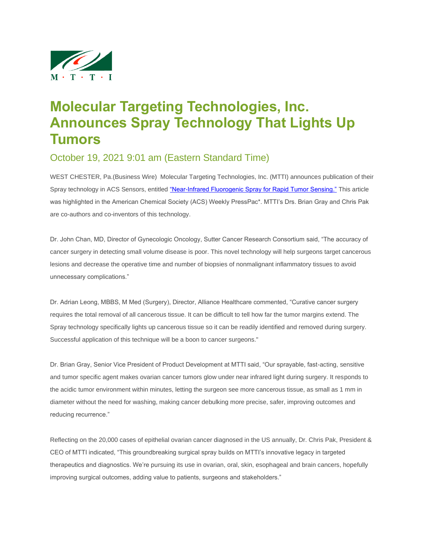

## **Molecular Targeting Technologies, Inc. Announces Spray Technology That Lights Up Tumors**

October 19, 2021 9:01 am (Eastern Standard Time)

WEST CHESTER, Pa.(Business Wire) Molecular Targeting Technologies, Inc. (MTTI) announces publication of their Spray technology in ACS Sensors, entitled ["Near-Infrared Fluorogenic Spray for Rapid Tumor Sensing."](https://cts.businesswire.com/ct/CT?id=smartlink&url=https%3A%2F%2Fpubs.acs.org%2Fdoi%2Fabs%2F10.1021%2Facssensors.1c01370&esheet=52510727&lan=en-US&anchor=%26%238220%3BNear-Infrared+Fluorogenic+Spray+for+Rapid+Tumor+Sensing.%26%238221%3B&index=1&md5=64239349cfa77d84b3ce48e76043efcd) This article was highlighted in the American Chemical Society (ACS) Weekly PressPac\*. MTTI's Drs. Brian Gray and Chris Pak are co-authors and co-inventors of this technology.

Dr. John Chan, MD, Director of Gynecologic Oncology, Sutter Cancer Research Consortium said, "The accuracy of cancer surgery in detecting small volume disease is poor. This novel technology will help surgeons target cancerous lesions and decrease the operative time and number of biopsies of nonmalignant inflammatory tissues to avoid unnecessary complications."

Dr. Adrian Leong, MBBS, M Med (Surgery), Director, Alliance Healthcare commented, "Curative cancer surgery requires the total removal of all cancerous tissue. It can be difficult to tell how far the tumor margins extend. The Spray technology specifically lights up cancerous tissue so it can be readily identified and removed during surgery. Successful application of this technique will be a boon to cancer surgeons."

Dr. Brian Gray, Senior Vice President of Product Development at MTTI said, "Our sprayable, fast-acting, sensitive and tumor specific agent makes ovarian cancer tumors glow under near infrared light during surgery. It responds to the acidic tumor environment within minutes, letting the surgeon see more cancerous tissue, as small as 1 mm in diameter without the need for washing, making cancer debulking more precise, safer, improving outcomes and reducing recurrence."

Reflecting on the 20,000 cases of epithelial ovarian cancer diagnosed in the US annually, Dr. Chris Pak, President & CEO of MTTI indicated, "This groundbreaking surgical spray builds on MTTI's innovative legacy in targeted therapeutics and diagnostics. We're pursuing its use in ovarian, oral, skin, esophageal and brain cancers, hopefully improving surgical outcomes, adding value to patients, surgeons and stakeholders."